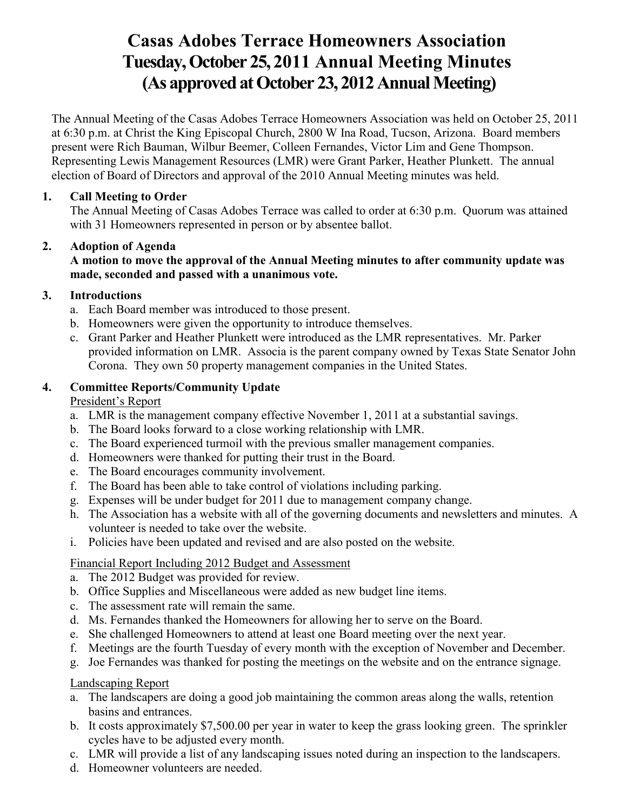# **Casas Adobes Terrace Homeowners Association Tuesday, October 25, 2011 Annual Meeting Minutes (As approved at October 23, 2012 Annual Meeting)**

The Annual Meeting of the Casas Adobes Terrace Homeowners Association was held on October 25, 2011 at 6:30 p.m. at Christ the King Episcopal Church, 2800 W Ina Road, Tucson, Arizona. Board members present were Rich Bauman, Wilbur Beemer, Colleen Fernandes, Victor Lim and Gene Thompson. Representing Lewis Management Resources (LMR) were Grant Parker, Heather Plunkett. The annual election of Board of Directors and approval of the 2010 Annual Meeting minutes was held.

## **1. Call Meeting to Order**

The Annual Meeting of Casas Adobes Terrace was called to order at 6:30 p.m. Quorum was attained with 31 Homeowners represented in person or by absentee ballot.

# **2. Adoption of Agenda**

#### **A motion to move the approval of the Annual Meeting minutes to after community update was made, seconded and passed with a unanimous vote.**

# **3. Introductions**

- a. Each Board member was introduced to those present.
- b. Homeowners were given the opportunity to introduce themselves.
- c. Grant Parker and Heather Plunkett were introduced as the LMR representatives. Mr. Parker provided information on LMR. Associa is the parent company owned by Texas State Senator John Corona. They own 50 property management companies in the United States.

# **4. Committee Reports/Community Update**

## President's Report

- a. LMR is the management company effective November 1, 2011 at a substantial savings.
- b. The Board looks forward to a close working relationship with LMR.
- c. The Board experienced turmoil with the previous smaller management companies.
- d. Homeowners were thanked for putting their trust in the Board.
- e. The Board encourages community involvement.
- f. The Board has been able to take control of violations including parking.
- g. Expenses will be under budget for 2011 due to management company change.
- h. The Association has a website with all of the governing documents and newsletters and minutes. A volunteer is needed to take over the website.
- i. Policies have been updated and revised and are also posted on the website.

# Financial Report Including 2012 Budget and Assessment

- a. The 2012 Budget was provided for review.
- b. Office Supplies and Miscellaneous were added as new budget line items.
- c. The assessment rate will remain the same.
- d. Ms. Fernandes thanked the Homeowners for allowing her to serve on the Board.
- e. She challenged Homeowners to attend at least one Board meeting over the next year.
- f. Meetings are the fourth Tuesday of every month with the exception of November and December.
- g. Joe Fernandes was thanked for posting the meetings on the website and on the entrance signage.

#### Landscaping Report

- a. The landscapers are doing a good job maintaining the common areas along the walls, retention basins and entrances.
- b. It costs approximately \$7,500.00 per year in water to keep the grass looking green. The sprinkler cycles have to be adjusted every month.
- c. LMR will provide a list of any landscaping issues noted during an inspection to the landscapers.
- d. Homeowner volunteers are needed.